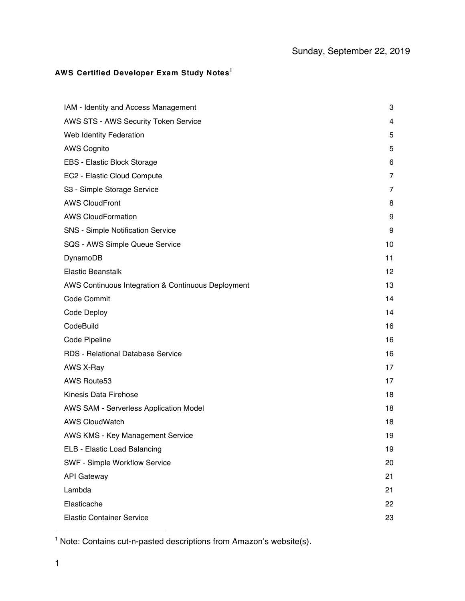## **AWS Certified Developer Exam Study Notes<sup>1</sup>**

| IAM - Identity and Access Management               | 3       |
|----------------------------------------------------|---------|
| AWS STS - AWS Security Token Service               | 4       |
| Web Identity Federation                            | 5       |
| <b>AWS Cognito</b>                                 | 5       |
| EBS - Elastic Block Storage                        | 6       |
| EC2 - Elastic Cloud Compute                        | 7       |
| S3 - Simple Storage Service                        | 7       |
| <b>AWS CloudFront</b>                              | 8       |
| <b>AWS CloudFormation</b>                          | 9       |
| SNS - Simple Notification Service                  | 9       |
| SQS - AWS Simple Queue Service                     | 10      |
| DynamoDB                                           | 11      |
| <b>Elastic Beanstalk</b>                           | $12 \,$ |
| AWS Continuous Integration & Continuous Deployment | 13      |
| Code Commit                                        | 14      |
| Code Deploy                                        | 14      |
| CodeBuild                                          | 16      |
| Code Pipeline                                      | 16      |
| RDS - Relational Database Service                  | 16      |
| AWS X-Ray                                          | 17      |
| AWS Route53                                        | 17      |
| <b>Kinesis Data Firehose</b>                       | 18      |
| AWS SAM - Serverless Application Model             | 18      |
| <b>AWS CloudWatch</b>                              | 18      |
| AWS KMS - Key Management Service                   | 19      |
| ELB - Elastic Load Balancing                       | 19      |
| SWF - Simple Workflow Service                      | 20      |
| <b>API Gateway</b>                                 | 21      |
| Lambda                                             | 21      |
| Elasticache                                        | 22      |
| <b>Elastic Container Service</b>                   | 23      |

<u>.</u>

<sup>&</sup>lt;sup>1</sup> Note: Contains cut-n-pasted descriptions from Amazon's website(s).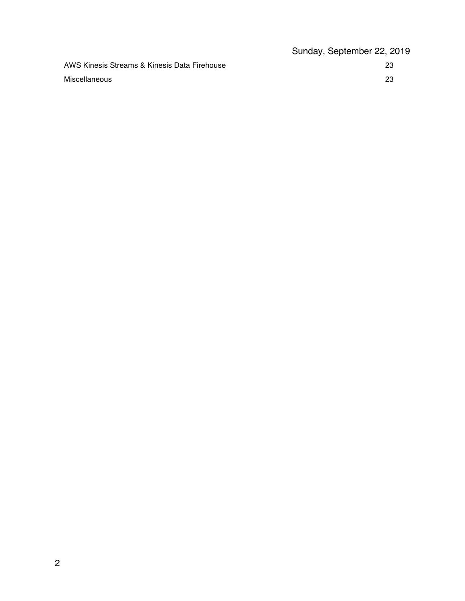|                                              | Sunday, September 22, 2019 |
|----------------------------------------------|----------------------------|
| AWS Kinesis Streams & Kinesis Data Firehouse | -23                        |
| Miscellaneous                                | 23                         |
|                                              |                            |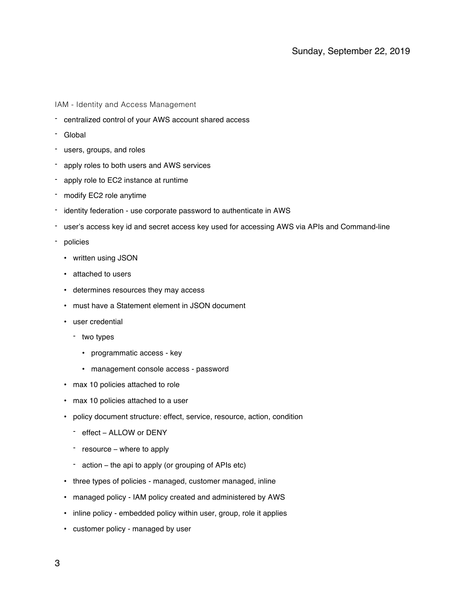IAM - Identity and Access Management

- centralized control of your AWS account shared access
- Global
- users, groups, and roles
- apply roles to both users and AWS services
- apply role to EC2 instance at runtime
- modify EC2 role anytime
- identity federation use corporate password to authenticate in AWS
- user's access key id and secret access key used for accessing AWS via APIs and Command-line
- policies
	- written using JSON
	- attached to users
	- determines resources they may access
	- must have a Statement element in JSON document
	- user credential
		- two types
			- programmatic access key
			- management console access password
	- max 10 policies attached to role
	- max 10 policies attached to a user
	- policy document structure: effect, service, resource, action, condition
		- effect ALLOW or DENY
		- resource where to apply
		- action the api to apply (or grouping of APIs etc)
	- three types of policies managed, customer managed, inline
	- managed policy IAM policy created and administered by AWS
	- inline policy embedded policy within user, group, role it applies
	- customer policy managed by user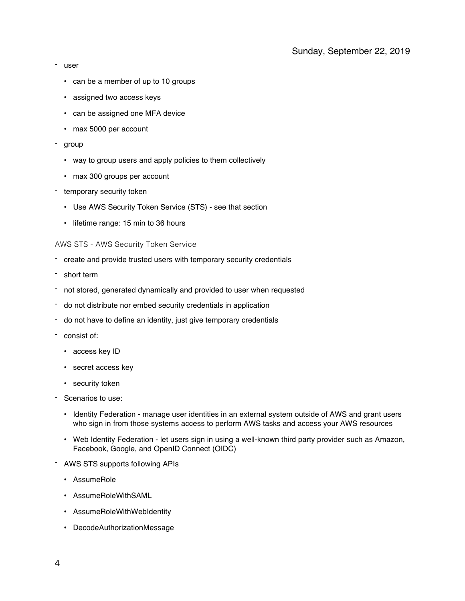- user
	- can be a member of up to 10 groups
	- assigned two access keys
	- can be assigned one MFA device
	- max 5000 per account
- group
	- way to group users and apply policies to them collectively
	- max 300 groups per account
- temporary security token
	- Use AWS Security Token Service (STS) see that section
	- lifetime range: 15 min to 36 hours

## AWS STS - AWS Security Token Service

- create and provide trusted users with temporary security credentials
- short term
- not stored, generated dynamically and provided to user when requested
- do not distribute nor embed security credentials in application
- do not have to define an identity, just give temporary credentials
- consist of:
	- access key ID
	- secret access key
	- security token
- Scenarios to use:
	- Identity Federation manage user identities in an external system outside of AWS and grant users who sign in from those systems access to perform AWS tasks and access your AWS resources
	- Web Identity Federation let users sign in using a well-known third party provider such as Amazon, Facebook, Google, and OpenID Connect (OIDC)
- AWS STS supports following APIs
	- AssumeRole
	- AssumeRoleWithSAML
	- AssumeRoleWithWebIdentity
	- DecodeAuthorizationMessage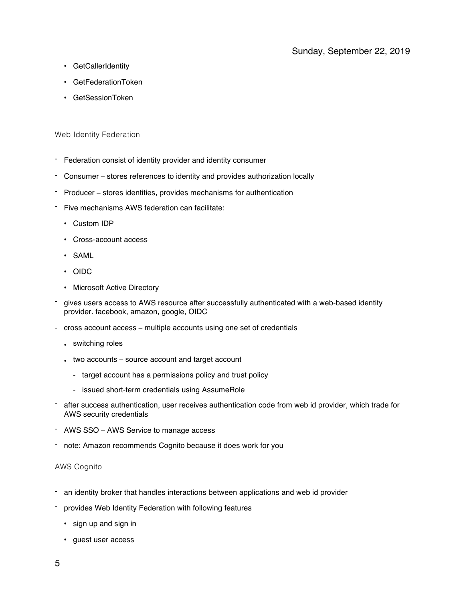- GetCallerIdentity
- GetFederationToken
- GetSessionToken

## Web Identity Federation

- Federation consist of identity provider and identity consumer
- Consumer stores references to identity and provides authorization locally
- Producer stores identities, provides mechanisms for authentication
- Five mechanisms AWS federation can facilitate:
	- Custom IDP
	- Cross-account access
	- SAML
	- OIDC
	- Microsoft Active Directory
- gives users access to AWS resource after successfully authenticated with a web-based identity provider. facebook, amazon, google, OIDC
- cross account access multiple accounts using one set of credentials
	- switching roles
	- two accounts source account and target account
		- target account has a permissions policy and trust policy
		- issued short-term credentials using AssumeRole
- after success authentication, user receives authentication code from web id provider, which trade for AWS security credentials
- AWS SSO AWS Service to manage access
- note: Amazon recommends Cognito because it does work for you

#### AWS Cognito

- an identity broker that handles interactions between applications and web id provider
- provides Web Identity Federation with following features
	- sign up and sign in
	- guest user access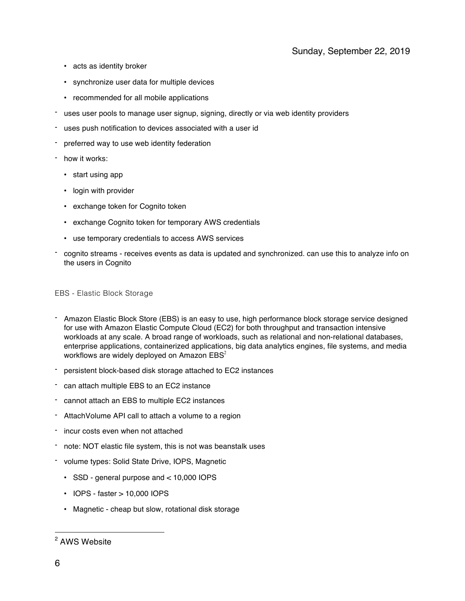- acts as identity broker
- synchronize user data for multiple devices
- recommended for all mobile applications
- uses user pools to manage user signup, signing, directly or via web identity providers
- uses push notification to devices associated with a user id
- preferred way to use web identity federation
- how it works:
	- start using app
	- login with provider
	- exchange token for Cognito token
	- exchange Cognito token for temporary AWS credentials
	- use temporary credentials to access AWS services
- cognito streams receives events as data is updated and synchronized. can use this to analyze info on the users in Cognito

#### EBS - Elastic Block Storage

- Amazon Elastic Block Store (EBS) is an easy to use, high performance block storage service designed for use with Amazon Elastic Compute Cloud (EC2) for both throughput and transaction intensive workloads at any scale. A broad range of workloads, such as relational and non-relational databases, enterprise applications, containerized applications, big data analytics engines, file systems, and media workflows are widely deployed on Amazon  $EBS<sup>2</sup>$
- persistent block-based disk storage attached to EC2 instances
- can attach multiple EBS to an EC2 instance
- cannot attach an EBS to multiple EC2 instances
- AttachVolume API call to attach a volume to a region
- incur costs even when not attached
- note: NOT elastic file system, this is not was beanstalk uses
- volume types: Solid State Drive, IOPS, Magnetic
	- SSD general purpose and < 10,000 IOPS
	- IOPS faster > 10,000 IOPS
	- Magnetic cheap but slow, rotational disk storage

<sup>&</sup>lt;sup>2</sup> AWS Website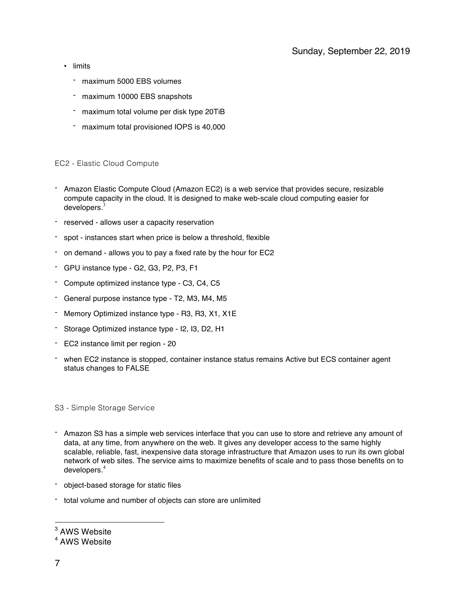- limits
	- maximum 5000 EBS volumes
	- maximum 10000 EBS snapshots
	- maximum total volume per disk type 20TiB
	- maximum total provisioned IOPS is 40,000

#### EC2 - Elastic Cloud Compute

- Amazon Elastic Compute Cloud (Amazon EC2) is a web service that provides secure, resizable compute capacity in the cloud. It is designed to make web-scale cloud computing easier for developers. $3$
- reserved allows user a capacity reservation
- spot instances start when price is below a threshold, flexible
- on demand allows you to pay a fixed rate by the hour for EC2
- GPU instance type G2, G3, P2, P3, F1
- Compute optimized instance type C3, C4, C5
- General purpose instance type T2, M3, M4, M5
- Memory Optimized instance type R3, R3, X1, X1E
- Storage Optimized instance type I2, I3, D2, H1
- EC2 instance limit per region 20
- when EC2 instance is stopped, container instance status remains Active but ECS container agent status changes to FALSE

S3 - Simple Storage Service

- Amazon S3 has a simple web services interface that you can use to store and retrieve any amount of data, at any time, from anywhere on the web. It gives any developer access to the same highly scalable, reliable, fast, inexpensive data storage infrastructure that Amazon uses to run its own global network of web sites. The service aims to maximize benefits of scale and to pass those benefits on to developers.<sup>4</sup>
- object-based storage for static files
- total volume and number of objects can store are unlimited

<sup>3</sup> AWS Website

<sup>4</sup> AWS Website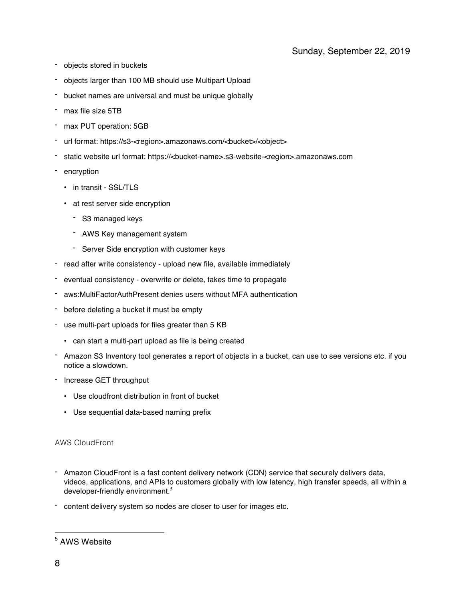- objects stored in buckets
- objects larger than 100 MB should use Multipart Upload
- bucket names are universal and must be unique globally
- max file size 5TB
- max PUT operation: 5GB
- url format: https://s3-<region>.amazonaws.com/<br/>bucket>/<object>
- static website url format: https://<br/>bucket-name>.s3-website-<region>.amazonaws.com
- encryption
	- in transit SSL/TLS
	- at rest server side encryption
		- S3 managed keys
		- AWS Key management system
		- Server Side encryption with customer keys
- read after write consistency upload new file, available immediately
- eventual consistency overwrite or delete, takes time to propagate
- aws:MultiFactorAuthPresent denies users without MFA authentication
- before deleting a bucket it must be empty
- use multi-part uploads for files greater than 5 KB
	- can start a multi-part upload as file is being created
- Amazon S3 Inventory tool generates a report of objects in a bucket, can use to see versions etc. if you notice a slowdown.
- Increase GET throughput
	- Use cloudfront distribution in front of bucket
	- Use sequential data-based naming prefix

## AWS CloudFront

- Amazon CloudFront is a fast content delivery network (CDN) service that securely delivers data, videos, applications, and APIs to customers globally with low latency, high transfer speeds, all within a developer-friendly environment.<sup>5</sup>
- content delivery system so nodes are closer to user for images etc.

<sup>5</sup> AWS Website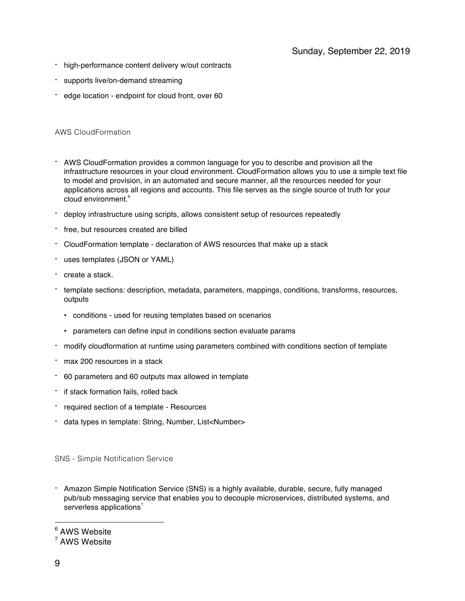- high-performance content delivery w/out contracts
- supports live/on-demand streaming
- edge location endpoint for cloud front, over 60

## AWS CloudFormation

- AWS CloudFormation provides a common language for you to describe and provision all the infrastructure resources in your cloud environment. CloudFormation allows you to use a simple text file to model and provision, in an automated and secure manner, all the resources needed for your applications across all regions and accounts. This file serves as the single source of truth for your cloud environment.<sup>6</sup>
- deploy infrastructure using scripts, allows consistent setup of resources repeatedly
- free, but resources created are billed
- CloudFormation template declaration of AWS resources that make up a stack
- uses templates (JSON or YAML)
- create a stack.
- template sections: description, metadata, parameters, mappings, conditions, transforms, resources, outputs
	- conditions used for reusing templates based on scenarios
	- parameters can define input in conditions section evaluate params
- modify cloudformation at runtime using parameters combined with conditions section of template
- max 200 resources in a stack
- 60 parameters and 60 outputs max allowed in template
- if stack formation fails, rolled back
- required section of a template Resources
- data types in template: String, Number, List<Number>

SNS - Simple Notification Service

- Amazon Simple Notification Service (SNS) is a highly available, durable, secure, fully managed pub/sub messaging service that enables you to decouple microservices, distributed systems, and serverless applications<sup>7</sup>

<sup>6</sup> AWS Website

<sup>7</sup> AWS Website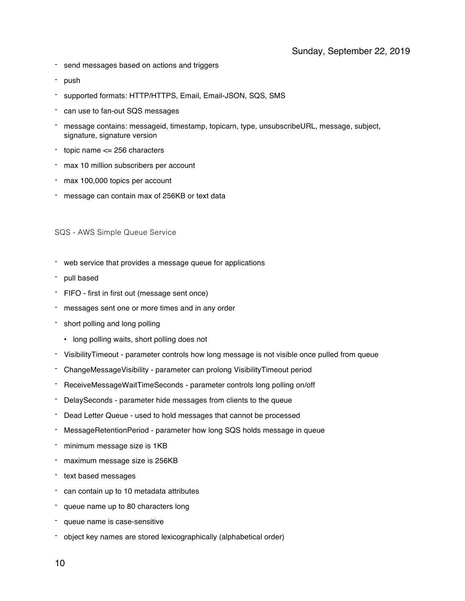- send messages based on actions and triggers
- push
- supported formats: HTTP/HTTPS, Email, Email-JSON, SQS, SMS
- can use to fan-out SQS messages
- message contains: messageid, timestamp, topicarn, type, unsubscribeURL, message, subject, signature, signature version
- topic name  $\leq$  256 characters
- max 10 million subscribers per account
- max 100,000 topics per account
- message can contain max of 256KB or text data

SQS - AWS Simple Queue Service

- web service that provides a message queue for applications
- pull based
- FIFO first in first out (message sent once)
- messages sent one or more times and in any order
- short polling and long polling
	- long polling waits, short polling does not
- VisibilityTimeout parameter controls how long message is not visible once pulled from queue
- ChangeMessageVisibility parameter can prolong VisibilityTimeout period
- ReceiveMessageWaitTimeSeconds parameter controls long polling on/off
- DelaySeconds parameter hide messages from clients to the queue
- Dead Letter Queue used to hold messages that cannot be processed
- MessageRetentionPeriod parameter how long SQS holds message in queue
- minimum message size is 1KB
- maximum message size is 256KB
- text based messages
- can contain up to 10 metadata attributes
- queue name up to 80 characters long
- queue name is case-sensitive
- object key names are stored lexicographically (alphabetical order)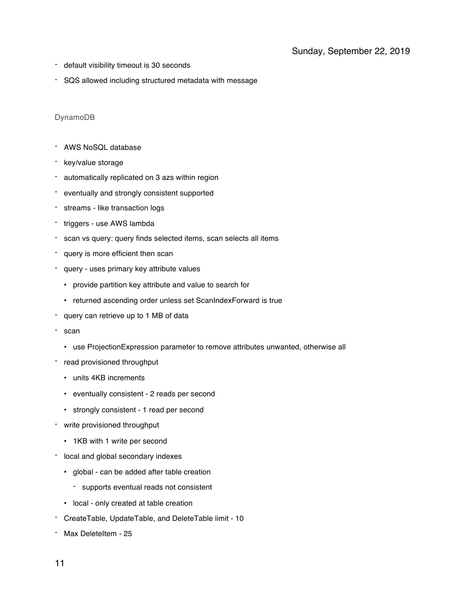- default visibility timeout is 30 seconds
- SQS allowed including structured metadata with message

## DynamoDB

- AWS NoSQL database
- key/value storage
- automatically replicated on 3 azs within region
- eventually and strongly consistent supported
- streams like transaction logs
- triggers use AWS lambda
- scan vs query: query finds selected items, scan selects all items
- query is more efficient then scan
- query uses primary key attribute values
	- provide partition key attribute and value to search for
	- returned ascending order unless set ScanIndexForward is true
- query can retrieve up to 1 MB of data
- scan
	- use ProjectionExpression parameter to remove attributes unwanted, otherwise all
- read provisioned throughput
	- units 4KB increments
	- eventually consistent 2 reads per second
	- strongly consistent 1 read per second
- write provisioned throughput
	- 1KB with 1 write per second
- local and global secondary indexes
	- global can be added after table creation
		- supports eventual reads not consistent
	- local only created at table creation
- CreateTable, UpdateTable, and DeleteTable limit 10
- Max DeleteItem 25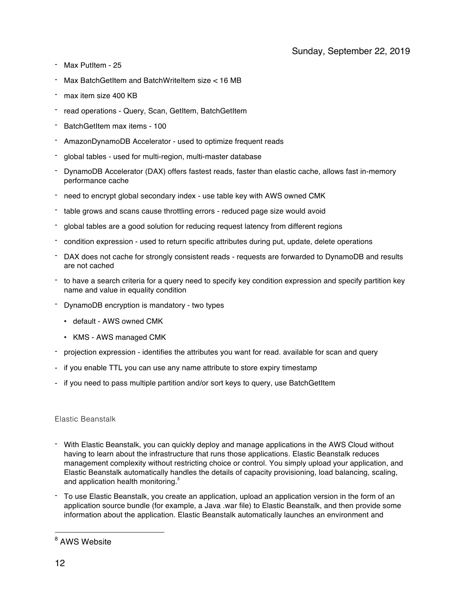- Max PutItem 25
- Max BatchGetItem and BatchWriteItem size < 16 MB
- max item size 400 KB
- read operations Query, Scan, GetItem, BatchGetItem
- BatchGetItem max items 100
- AmazonDynamoDB Accelerator used to optimize frequent reads
- global tables used for multi-region, multi-master database
- DynamoDB Accelerator (DAX) offers fastest reads, faster than elastic cache, allows fast in-memory performance cache
- need to encrypt global secondary index use table key with AWS owned CMK
- table grows and scans cause throttling errors reduced page size would avoid
- global tables are a good solution for reducing request latency from different regions
- condition expression used to return specific attributes during put, update, delete operations
- DAX does not cache for strongly consistent reads requests are forwarded to DynamoDB and results are not cached
- to have a search criteria for a query need to specify key condition expression and specify partition key name and value in equality condition
- DynamoDB encryption is mandatory two types
	- default AWS owned CMK
	- KMS AWS managed CMK
- projection expression identifies the attributes you want for read. available for scan and query
- if you enable TTL you can use any name attribute to store expiry timestamp
- if you need to pass multiple partition and/or sort keys to query, use BatchGetItem

#### Elastic Beanstalk

- With Elastic Beanstalk, you can quickly deploy and manage applications in the AWS Cloud without having to learn about the infrastructure that runs those applications. Elastic Beanstalk reduces management complexity without restricting choice or control. You simply upload your application, and Elastic Beanstalk automatically handles the details of capacity provisioning, load balancing, scaling, and application health monitoring.<sup>8</sup>
- To use Elastic Beanstalk, you create an application, upload an application version in the form of an application source bundle (for example, a Java .war file) to Elastic Beanstalk, and then provide some information about the application. Elastic Beanstalk automatically launches an environment and

<sup>&</sup>lt;sup>8</sup> AWS Website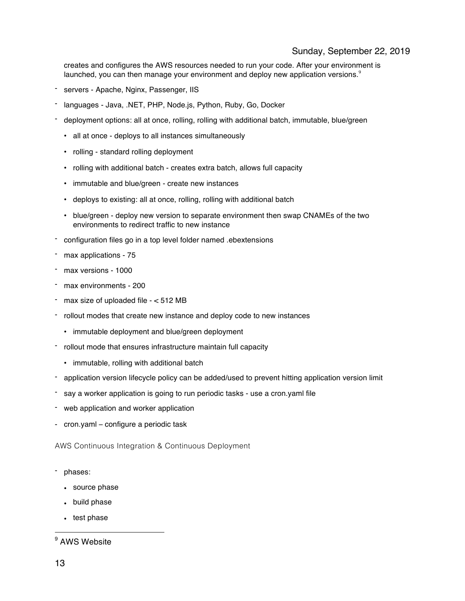## Sunday, September 22, 2019

creates and configures the AWS resources needed to run your code. After your environment is launched, you can then manage your environment and deploy new application versions.<sup>9</sup>

- servers Apache, Nginx, Passenger, IIS
- languages Java, .NET, PHP, Node.js, Python, Ruby, Go, Docker
- deployment options: all at once, rolling, rolling with additional batch, immutable, blue/green
	- all at once deploys to all instances simultaneously
	- rolling standard rolling deployment
	- rolling with additional batch creates extra batch, allows full capacity
	- immutable and blue/green create new instances
	- deploys to existing: all at once, rolling, rolling with additional batch
	- blue/green deploy new version to separate environment then swap CNAMEs of the two environments to redirect traffic to new instance
- configuration files go in a top level folder named .ebextensions
- max applications 75
- max versions 1000
- max environments 200
- max size of uploaded file  $< 512$  MB
- rollout modes that create new instance and deploy code to new instances
	- immutable deployment and blue/green deployment
- rollout mode that ensures infrastructure maintain full capacity
	- immutable, rolling with additional batch
- application version lifecycle policy can be added/used to prevent hitting application version limit
- say a worker application is going to run periodic tasks use a cron.yaml file
- web application and worker application
- cron.yaml configure a periodic task

AWS Continuous Integration & Continuous Deployment

- phases:
	- source phase
	- build phase
	- test phase

<sup>9</sup> AWS Website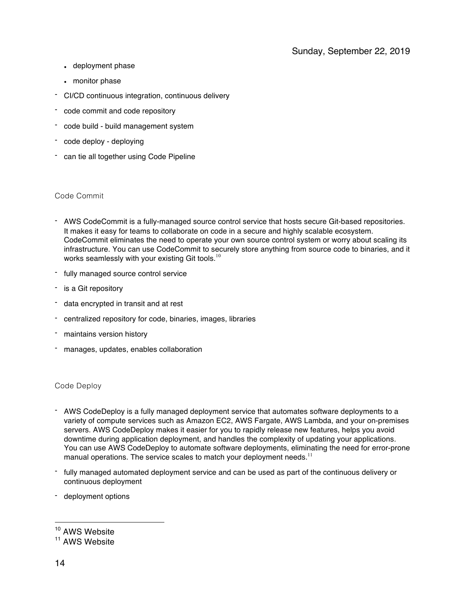- deployment phase
- monitor phase
- CI/CD continuous integration, continuous delivery
- code commit and code repository
- code build build management system
- code deploy deploying
- can tie all together using Code Pipeline

## Code Commit

- AWS CodeCommit is a fully-managed source control service that hosts secure Git-based repositories. It makes it easy for teams to collaborate on code in a secure and highly scalable ecosystem. CodeCommit eliminates the need to operate your own source control system or worry about scaling its infrastructure. You can use CodeCommit to securely store anything from source code to binaries, and it works seamlessly with your existing Git tools.<sup>10</sup>
- fully managed source control service
- is a Git repository
- data encrypted in transit and at rest
- centralized repository for code, binaries, images, libraries
- maintains version history
- manages, updates, enables collaboration

## Code Deploy

- AWS CodeDeploy is a fully managed deployment service that automates software deployments to a variety of compute services such as Amazon EC2, AWS Fargate, AWS Lambda, and your on-premises servers. AWS CodeDeploy makes it easier for you to rapidly release new features, helps you avoid downtime during application deployment, and handles the complexity of updating your applications. You can use AWS CodeDeploy to automate software deployments, eliminating the need for error-prone manual operations. The service scales to match your deployment needs. $11$
- fully managed automated deployment service and can be used as part of the continuous delivery or continuous deployment
- deployment options

<sup>&</sup>lt;sup>10</sup> AWS Website

<sup>&</sup>lt;sup>11</sup> AWS Website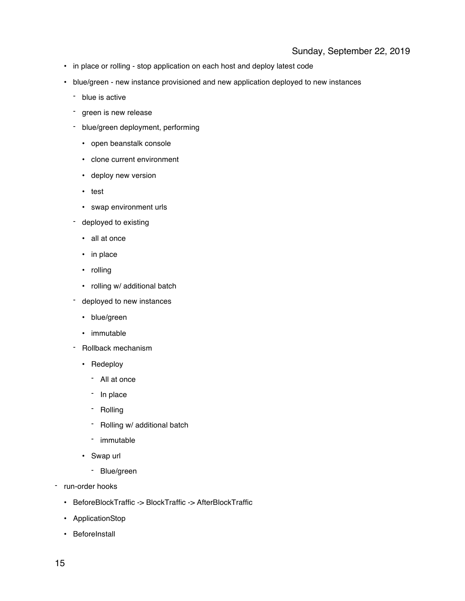- in place or rolling stop application on each host and deploy latest code
- blue/green new instance provisioned and new application deployed to new instances
	- blue is active
	- green is new release
	- blue/green deployment, performing
		- open beanstalk console
		- clone current environment
		- deploy new version
		- test
		- swap environment urls
	- deployed to existing
		- all at once
		- in place
		- rolling
		- rolling w/ additional batch
	- deployed to new instances
		- blue/green
		- immutable
	- Rollback mechanism
		- Redeploy
			- All at once
			- In place
			- Rolling
			- Rolling w/ additional batch
			- immutable
		- Swap url
			- Blue/green
- run-order hooks
	- BeforeBlockTraffic -> BlockTraffic -> AfterBlockTraffic
	- ApplicationStop
	- BeforeInstall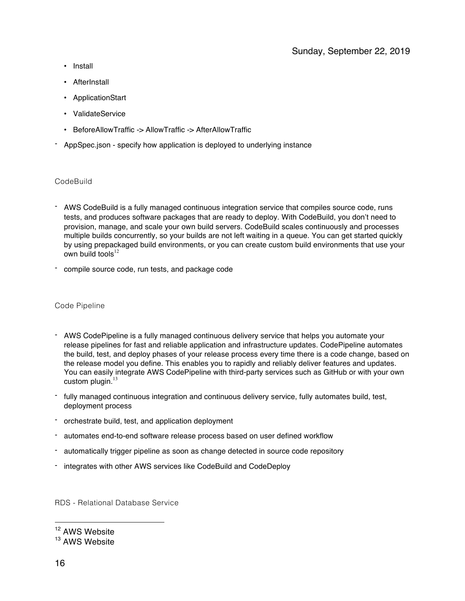- Install
- AfterInstall
- ApplicationStart
- ValidateService
- BeforeAllowTraffic -> AllowTraffic -> AfterAllowTraffic
- AppSpec.json specify how application is deployed to underlying instance

## **CodeBuild**

- AWS CodeBuild is a fully managed continuous integration service that compiles source code, runs tests, and produces software packages that are ready to deploy. With CodeBuild, you don't need to provision, manage, and scale your own build servers. CodeBuild scales continuously and processes multiple builds concurrently, so your builds are not left waiting in a queue. You can get started quickly by using prepackaged build environments, or you can create custom build environments that use your own build tools $12$
- compile source code, run tests, and package code

#### Code Pipeline

- AWS CodePipeline is a fully managed continuous delivery service that helps you automate your release pipelines for fast and reliable application and infrastructure updates. CodePipeline automates the build, test, and deploy phases of your release process every time there is a code change, based on the release model you define. This enables you to rapidly and reliably deliver features and updates. You can easily integrate AWS CodePipeline with third-party services such as GitHub or with your own custom plugin. $13$
- fully managed continuous integration and continuous delivery service, fully automates build, test, deployment process
- orchestrate build, test, and application deployment
- automates end-to-end software release process based on user defined workflow
- automatically trigger pipeline as soon as change detected in source code repository
- integrates with other AWS services like CodeBuild and CodeDeploy

RDS - Relational Database Service

<sup>12</sup> AWS Website

<sup>&</sup>lt;sup>13</sup> AWS Website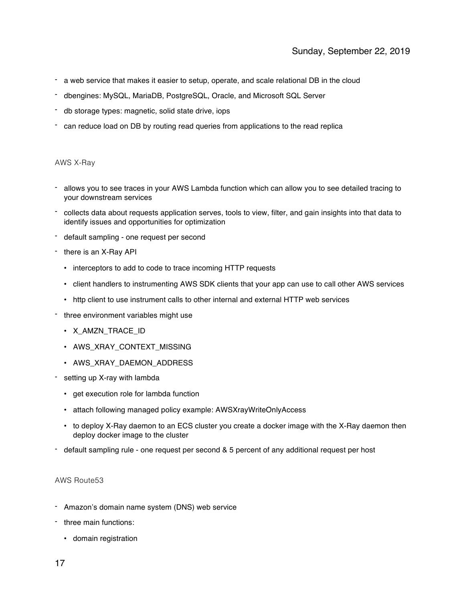- a web service that makes it easier to setup, operate, and scale relational DB in the cloud
- dbengines: MySQL, MariaDB, PostgreSQL, Oracle, and Microsoft SQL Server
- db storage types: magnetic, solid state drive, iops
- can reduce load on DB by routing read queries from applications to the read replica

## AWS X-Ray

- allows you to see traces in your AWS Lambda function which can allow you to see detailed tracing to your downstream services
- collects data about requests application serves, tools to view, filter, and gain insights into that data to identify issues and opportunities for optimization
- default sampling one request per second
- there is an X-Ray API
	- interceptors to add to code to trace incoming HTTP requests
	- client handlers to instrumenting AWS SDK clients that your app can use to call other AWS services
	- http client to use instrument calls to other internal and external HTTP web services
- three environment variables might use
	- X AMZN TRACE ID
	- AWS XRAY CONTEXT MISSING
	- AWS XRAY DAEMON ADDRESS
- setting up X-ray with lambda
	- get execution role for lambda function
	- attach following managed policy example: AWSXrayWriteOnlyAccess
	- to deploy X-Ray daemon to an ECS cluster you create a docker image with the X-Ray daemon then deploy docker image to the cluster
- default sampling rule one request per second & 5 percent of any additional request per host

## AWS Route53

- Amazon's domain name system (DNS) web service
- three main functions:
	- domain registration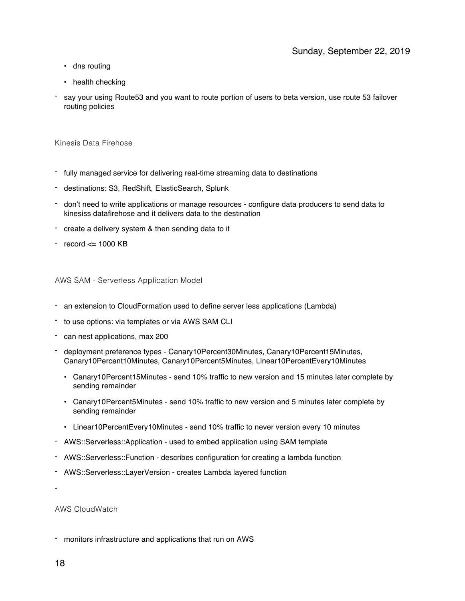- dns routing
- health checking
- say your using Route53 and you want to route portion of users to beta version, use route 53 failover routing policies

Kinesis Data Firehose

- fully managed service for delivering real-time streaming data to destinations
- destinations: S3, RedShift, ElasticSearch, Splunk
- don't need to write applications or manage resources configure data producers to send data to kinesiss datafirehose and it delivers data to the destination
- create a delivery system & then sending data to it
- $-$  record  $\leq$  1000 KB

AWS SAM - Serverless Application Model

- an extension to CloudFormation used to define server less applications (Lambda)
- to use options: via templates or via AWS SAM CLI
- can nest applications, max 200
- deployment preference types Canary10Percent30Minutes, Canary10Percent15Minutes, Canary10Percent10Minutes, Canary10Percent5Minutes, Linear10PercentEvery10Minutes
	- Canary10Percent15Minutes send 10% traffic to new version and 15 minutes later complete by sending remainder
	- Canary10Percent5Minutes send 10% traffic to new version and 5 minutes later complete by sending remainder
	- Linear10PercentEvery10Minutes send 10% traffic to never version every 10 minutes
- AWS::Serverless::Application used to embed application using SAM template
- AWS::Serverless::Function describes configuration for creating a lambda function
- AWS::Serverless::LayerVersion creates Lambda layered function

-

AWS CloudWatch

- monitors infrastructure and applications that run on AWS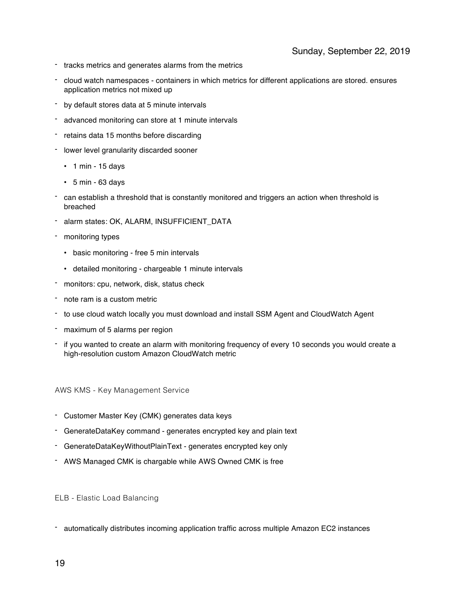- tracks metrics and generates alarms from the metrics
- cloud watch namespaces containers in which metrics for different applications are stored. ensures application metrics not mixed up
- by default stores data at 5 minute intervals
- advanced monitoring can store at 1 minute intervals
- retains data 15 months before discarding
- lower level granularity discarded sooner
	- $\cdot$  1 min 15 days
	- $\cdot$  5 min 63 days
- can establish a threshold that is constantly monitored and triggers an action when threshold is breached
- alarm states: OK, ALARM, INSUFFICIENT\_DATA
- monitoring types
	- basic monitoring free 5 min intervals
	- detailed monitoring chargeable 1 minute intervals
- monitors: cpu, network, disk, status check
- note ram is a custom metric
- to use cloud watch locally you must download and install SSM Agent and CloudWatch Agent
- maximum of 5 alarms per region
- if you wanted to create an alarm with monitoring frequency of every 10 seconds you would create a high-resolution custom Amazon CloudWatch metric

AWS KMS - Key Management Service

- Customer Master Key (CMK) generates data keys
- GenerateDataKey command generates encrypted key and plain text
- GenerateDataKeyWithoutPlainText generates encrypted key only
- AWS Managed CMK is chargable while AWS Owned CMK is free

ELB - Elastic Load Balancing

- automatically distributes incoming application traffic across multiple Amazon EC2 instances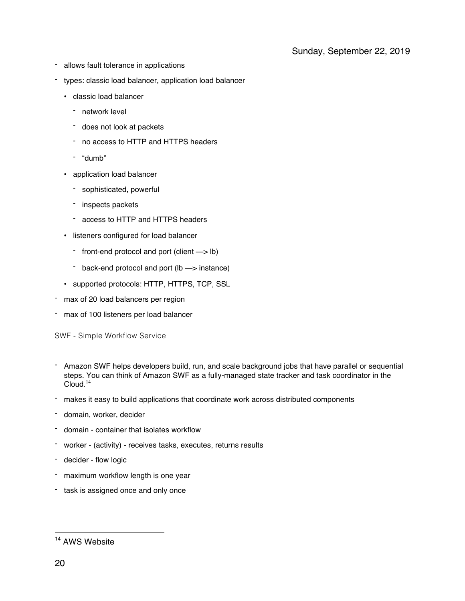- allows fault tolerance in applications
- types: classic load balancer, application load balancer
	- classic load balancer
		- network level
		- does not look at packets
		- no access to HTTP and HTTPS headers
		- "dumb"
	- application load balancer
		- sophisticated, powerful
		- inspects packets
		- access to HTTP and HTTPS headers
	- listeners configured for load balancer
		- front-end protocol and port (client —> lb)
		- back-end protocol and port (lb —> instance)
	- supported protocols: HTTP, HTTPS, TCP, SSL
- max of 20 load balancers per region
- max of 100 listeners per load balancer

SWF - Simple Workflow Service

- Amazon SWF helps developers build, run, and scale background jobs that have parallel or sequential steps. You can think of Amazon SWF as a fully-managed state tracker and task coordinator in the  $C$ loud.<sup>14</sup>
- makes it easy to build applications that coordinate work across distributed components
- domain, worker, decider
- domain container that isolates workflow
- worker (activity) receives tasks, executes, returns results
- decider flow logic
- maximum workflow length is one year
- task is assigned once and only once

<sup>&</sup>lt;sup>14</sup> AWS Website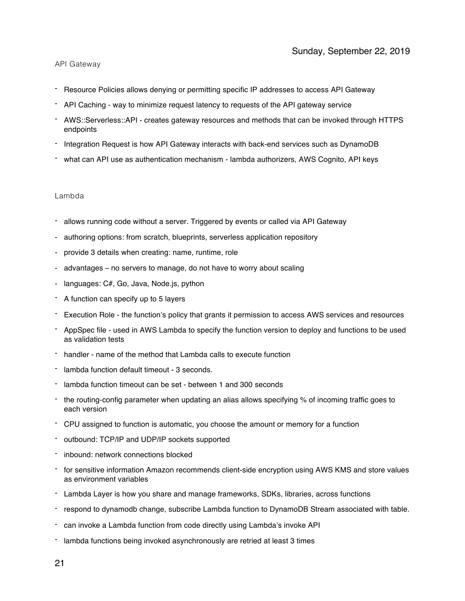### API Gateway

- Resource Policies allows denying or permitting specific IP addresses to access API Gateway
- API Caching way to minimize request latency to requests of the API gateway service
- AWS::Serverless::API creates gateway resources and methods that can be invoked through HTTPS endpoints
- Integration Request is how API Gateway interacts with back-end services such as DynamoDB
- what can API use as authentication mechanism lambda authorizers, AWS Cognito, API keys

## Lambda

- allows running code without a server. Triggered by events or called via API Gateway
- authoring options: from scratch, blueprints, serverless application repository
- provide 3 details when creating: name, runtime, role
- advantages no servers to manage, do not have to worry about scaling
- languages: C#, Go, Java, Node.js, python
- A function can specify up to 5 layers
- Execution Role the function's policy that grants it permission to access AWS services and resources
- AppSpec file used in AWS Lambda to specify the function version to deploy and functions to be used as validation tests
- handler name of the method that Lambda calls to execute function
- lambda function default timeout 3 seconds.
- lambda function timeout can be set between 1 and 300 seconds
- the routing-config parameter when updating an alias allows specifying % of incoming traffic goes to each version
- CPU assigned to function is automatic, you choose the amount or memory for a function
- outbound: TCP/IP and UDP/IP sockets supported
- inbound: network connections blocked
- for sensitive information Amazon recommends client-side encryption using AWS KMS and store values as environment variables
- Lambda Layer is how you share and manage frameworks, SDKs, libraries, across functions
- respond to dynamodb change, subscribe Lambda function to DynamoDB Stream associated with table.
- can invoke a Lambda function from code directly using Lambda's invoke API
- lambda functions being invoked asynchronously are retried at least 3 times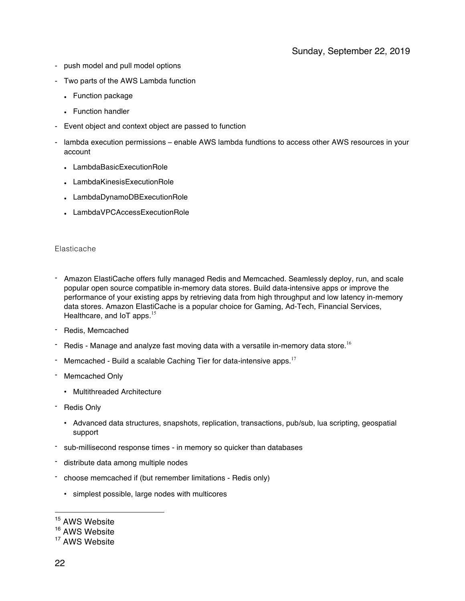- push model and pull model options
- Two parts of the AWS Lambda function
	- Function package
	- Function handler
- Event object and context object are passed to function
- lambda execution permissions enable AWS lambda fundtions to access other AWS resources in your account
	- LambdaBasicExecutionRole
	- LambdaKinesisExecutionRole
	- LambdaDynamoDBExecutionRole
	- LambdaVPCAccessExecutionRole

#### Elasticache

- Amazon ElastiCache offers fully managed Redis and Memcached. Seamlessly deploy, run, and scale popular open source compatible in-memory data stores. Build data-intensive apps or improve the performance of your existing apps by retrieving data from high throughput and low latency in-memory data stores. Amazon ElastiCache is a popular choice for Gaming, Ad-Tech, Financial Services, Healthcare, and IoT apps.<sup>15</sup>
- Redis, Memcached
- Redis Manage and analyze fast moving data with a versatile in-memory data store.<sup>16</sup>
- Memcached Build a scalable Caching Tier for data-intensive apps. $17$
- Memcached Only
	- Multithreaded Architecture
- Redis Only
	- Advanced data structures, snapshots, replication, transactions, pub/sub, lua scripting, geospatial support
- sub-millisecond response times in memory so quicker than databases
- distribute data among multiple nodes
- choose memcached if (but remember limitations Redis only)
	- simplest possible, large nodes with multicores

<sup>16</sup> AWS Website

<sup>&</sup>lt;sup>15</sup> AWS Website

<sup>&</sup>lt;sup>17</sup> AWS Website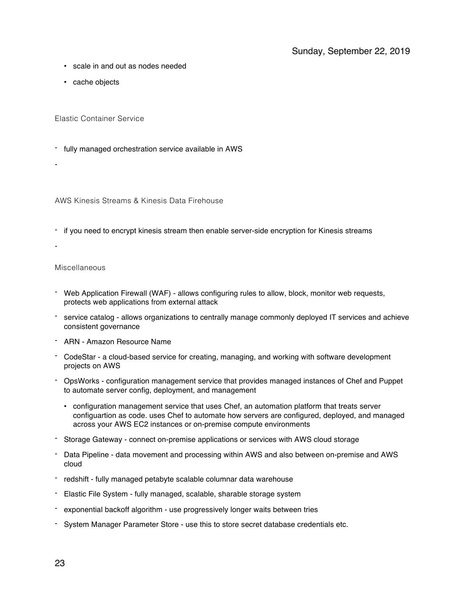- scale in and out as nodes needed
- cache objects

Elastic Container Service

- fully managed orchestration service available in AWS
- -

AWS Kinesis Streams & Kinesis Data Firehouse

- if you need to encrypt kinesis stream then enable server-side encryption for Kinesis streams
- -

## Miscellaneous

- Web Application Firewall (WAF) allows configuring rules to allow, block, monitor web requests, protects web applications from external attack
- service catalog allows organizations to centrally manage commonly deployed IT services and achieve consistent governance
- ARN Amazon Resource Name
- CodeStar a cloud-based service for creating, managing, and working with software development projects on AWS
- OpsWorks configuration management service that provides managed instances of Chef and Puppet to automate server config, deployment, and management
	- configuration management service that uses Chef, an automation platform that treats server configuartion as code. uses Chef to automate how servers are configured, deployed, and managed across your AWS EC2 instances or on-premise compute environments
- Storage Gateway connect on-premise applications or services with AWS cloud storage
- Data Pipeline data movement and processing within AWS and also between on-premise and AWS cloud
- redshift fully managed petabyte scalable columnar data warehouse
- Elastic File System fully managed, scalable, sharable storage system
- exponential backoff algorithm use progressively longer waits between tries
- System Manager Parameter Store use this to store secret database credentials etc.